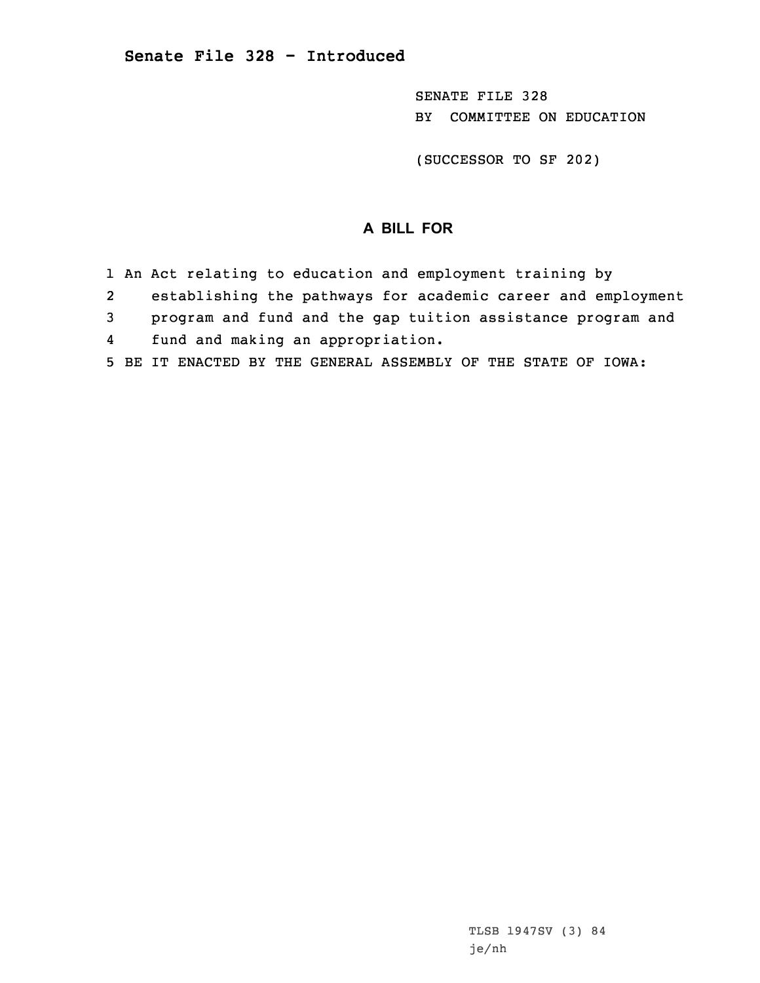SENATE FILE 328 BY COMMITTEE ON EDUCATION

(SUCCESSOR TO SF 202)

## **A BILL FOR**

- 1 An Act relating to education and employment training by
- 2establishing the pathways for academic career and employment
- 3 program and fund and the gap tuition assistance program and
- 4fund and making an appropriation.
- 5 BE IT ENACTED BY THE GENERAL ASSEMBLY OF THE STATE OF IOWA: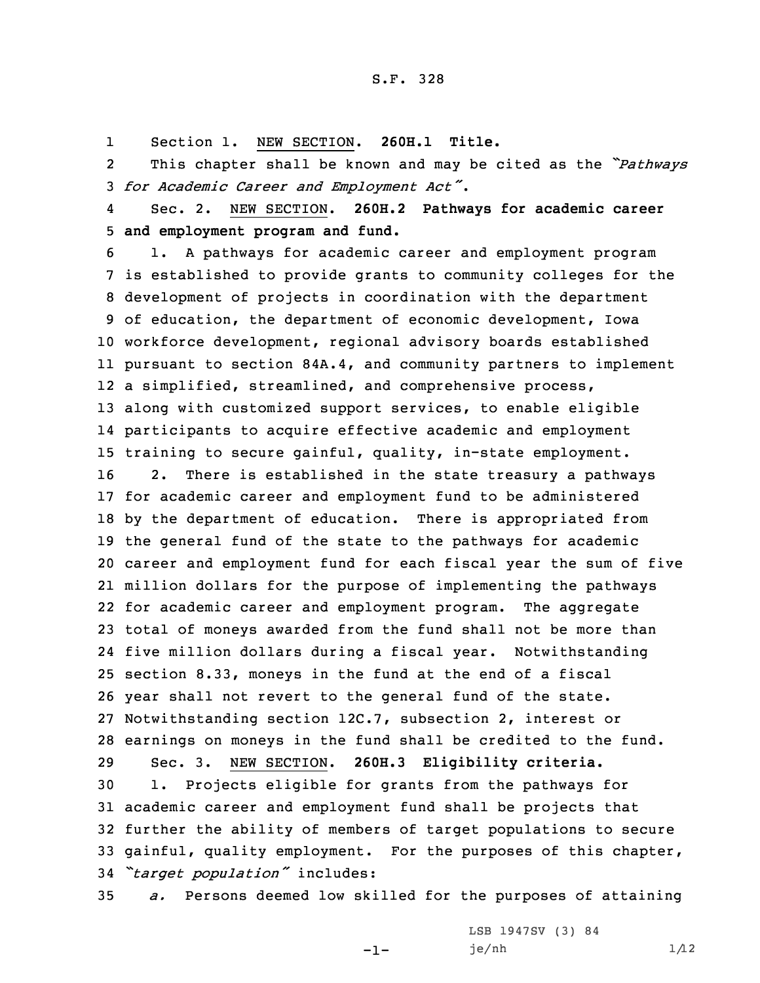## S.F. 328

1Section 1. NEW SECTION. **260H.1 Title.**

2 This chapter shall be known and may be cited as the *"Pathways* <sup>3</sup> *for Academic Career and Employment Act"*.

4 Sec. 2. NEW SECTION. **260H.2 Pathways for academic career** 5 **and employment program and fund.**

 1. <sup>A</sup> pathways for academic career and employment program is established to provide grants to community colleges for the development of projects in coordination with the department of education, the department of economic development, Iowa workforce development, regional advisory boards established pursuant to section 84A.4, and community partners to implement <sup>a</sup> simplified, streamlined, and comprehensive process, along with customized support services, to enable eligible participants to acquire effective academic and employment training to secure gainful, quality, in-state employment. 2. There is established in the state treasury <sup>a</sup> pathways for academic career and employment fund to be administered by the department of education. There is appropriated from the general fund of the state to the pathways for academic career and employment fund for each fiscal year the sum of five million dollars for the purpose of implementing the pathways for academic career and employment program. The aggregate total of moneys awarded from the fund shall not be more than five million dollars during <sup>a</sup> fiscal year. Notwithstanding section 8.33, moneys in the fund at the end of <sup>a</sup> fiscal year shall not revert to the general fund of the state. Notwithstanding section 12C.7, subsection 2, interest or earnings on moneys in the fund shall be credited to the fund. Sec. 3. NEW SECTION. **260H.3 Eligibility criteria.** 1. Projects eligible for grants from the pathways for academic career and employment fund shall be projects that further the ability of members of target populations to secure gainful, quality employment. For the purposes of this chapter, *"target population"* includes:

35 *a.* Persons deemed low skilled for the purposes of attaining

-1-

LSB 1947SV (3) 84  $j e / nh$  1/12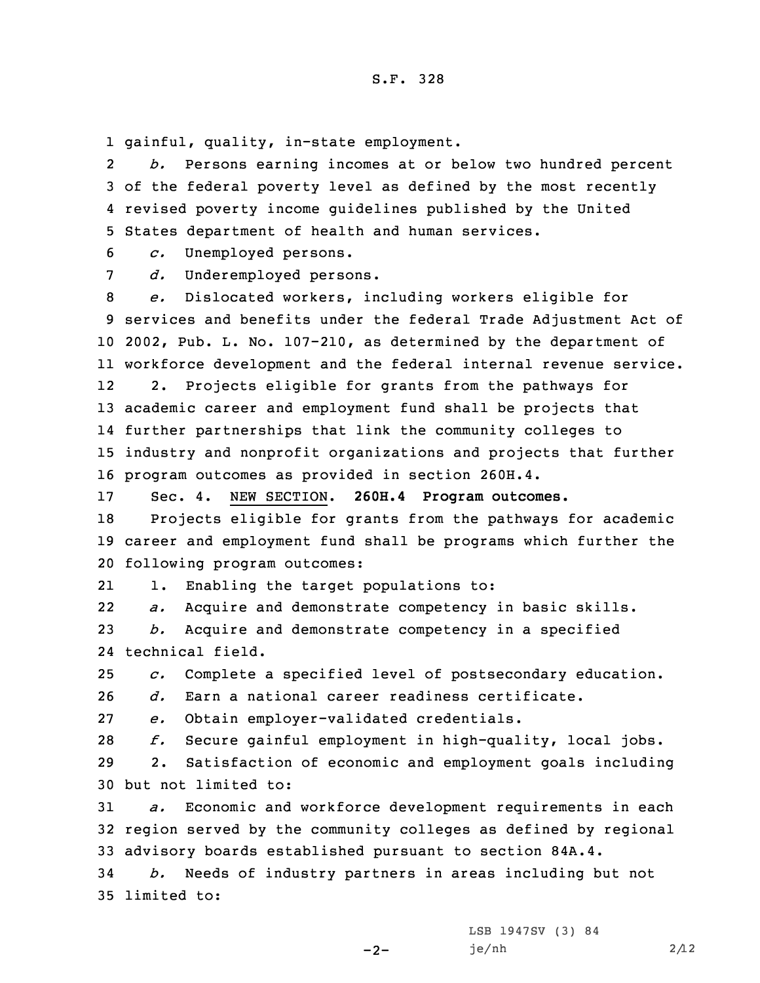1 gainful, quality, in-state employment.

2 *b.* Persons earning incomes at or below two hundred percent 3 of the federal poverty level as defined by the most recently 4 revised poverty income guidelines published by the United 5 States department of health and human services.

6 *c.* Unemployed persons.

7 *d.* Underemployed persons.

 *e.* Dislocated workers, including workers eligible for services and benefits under the federal Trade Adjustment Act of 2002, Pub. L. No. 107-210, as determined by the department of workforce development and the federal internal revenue service. 12 2. Projects eligible for grants from the pathways for academic career and employment fund shall be projects that further partnerships that link the community colleges to industry and nonprofit organizations and projects that further program outcomes as provided in section 260H.4.

17 Sec. 4. NEW SECTION. **260H.4 Program outcomes.**

18 Projects eligible for grants from the pathways for academic 19 career and employment fund shall be programs which further the 20 following program outcomes:

211. Enabling the target populations to:

22*a.* Acquire and demonstrate competency in basic skills.

23 *b.* Acquire and demonstrate competency in <sup>a</sup> specified 24 technical field.

25 *c.* Complete <sup>a</sup> specified level of postsecondary education.

26 *d.* Earn <sup>a</sup> national career readiness certificate.

27 *e.* Obtain employer-validated credentials.

28 *f.* Secure gainful employment in high-quality, local jobs.

29 2. Satisfaction of economic and employment goals including 30 but not limited to:

31 *a.* Economic and workforce development requirements in each 32 region served by the community colleges as defined by regional 33 advisory boards established pursuant to section 84A.4.

34 *b.* Needs of industry partners in areas including but not 35 limited to:

 $-2-$ 

LSB 1947SV (3) 84 je/nh 2/12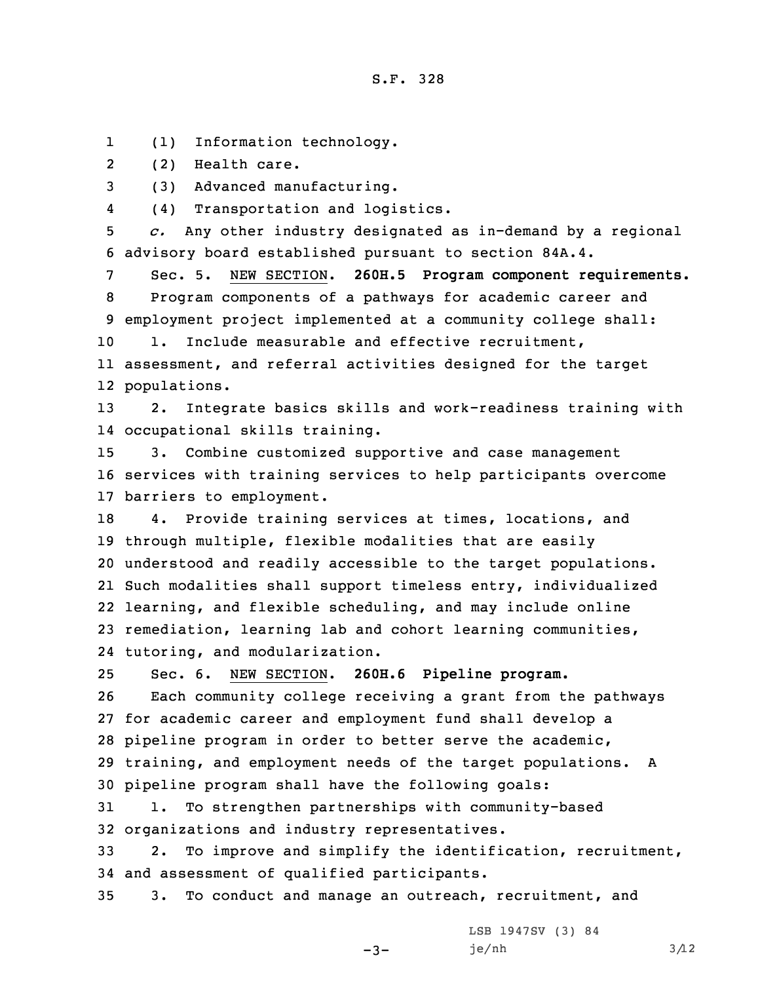1(1) Information technology.

2(2) Health care.

3 (3) Advanced manufacturing.

4(4) Transportation and logistics.

5 *c.* Any other industry designated as in-demand by <sup>a</sup> regional 6 advisory board established pursuant to section 84A.4.

 Sec. 5. NEW SECTION. **260H.5 Program component requirements.** Program components of <sup>a</sup> pathways for academic career and employment project implemented at <sup>a</sup> community college shall: 10 1. Include measurable and effective recruitment,

11 assessment, and referral activities designed for the target 12 populations.

13 2. Integrate basics skills and work-readiness training with 14 occupational skills training.

15 3. Combine customized supportive and case management 16 services with training services to help participants overcome 17 barriers to employment.

 4. Provide training services at times, locations, and through multiple, flexible modalities that are easily understood and readily accessible to the target populations. Such modalities shall support timeless entry, individualized learning, and flexible scheduling, and may include online remediation, learning lab and cohort learning communities, tutoring, and modularization.

25 Sec. 6. NEW SECTION. **260H.6 Pipeline program.**

 Each community college receiving <sup>a</sup> grant from the pathways for academic career and employment fund shall develop <sup>a</sup> pipeline program in order to better serve the academic, training, and employment needs of the target populations. <sup>A</sup> pipeline program shall have the following goals:

31 1. To strengthen partnerships with community-based 32 organizations and industry representatives.

33 2. To improve and simplify the identification, recruitment, 34 and assessment of qualified participants.

35 3. To conduct and manage an outreach, recruitment, and

 $-3-$ 

LSB 1947SV (3) 84  $j e / nh$  3/12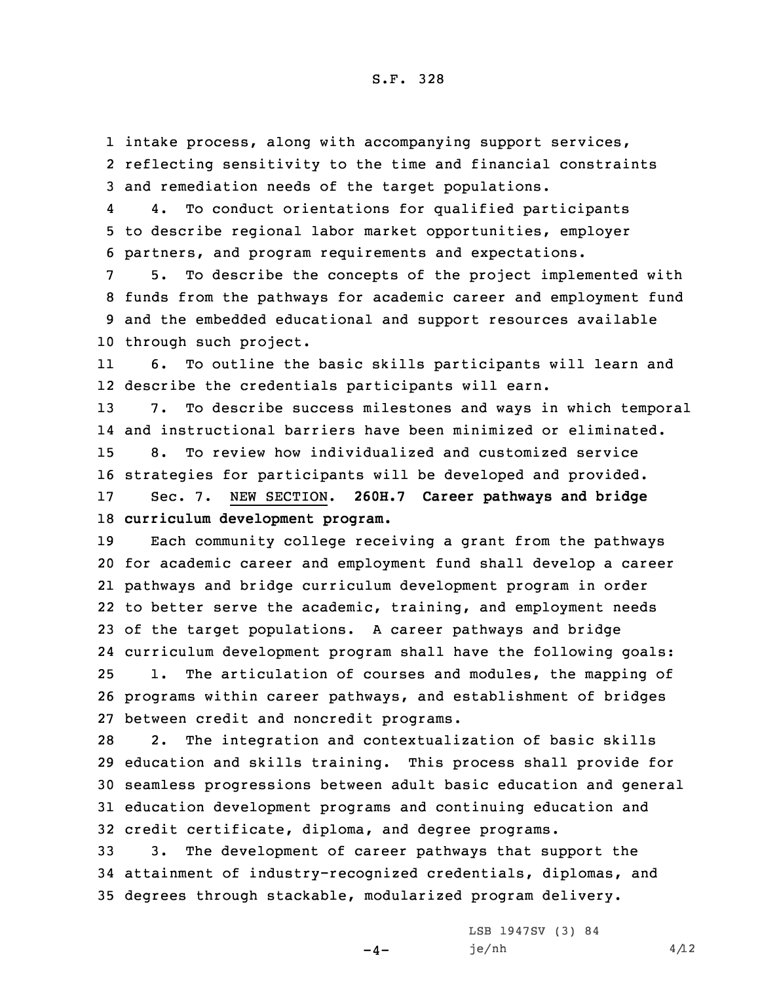1 intake process, along with accompanying support services, 2 reflecting sensitivity to the time and financial constraints 3 and remediation needs of the target populations.

4 4. To conduct orientations for qualified participants 5 to describe regional labor market opportunities, employer 6 partners, and program requirements and expectations.

 5. To describe the concepts of the project implemented with funds from the pathways for academic career and employment fund and the embedded educational and support resources available through such project.

11 6. To outline the basic skills participants will learn and 12 describe the credentials participants will earn.

 7. To describe success milestones and ways in which temporal and instructional barriers have been minimized or eliminated. 8. To review how individualized and customized service strategies for participants will be developed and provided. Sec. 7. NEW SECTION. **260H.7 Career pathways and bridge**

18 **curriculum development program.**

 Each community college receiving <sup>a</sup> grant from the pathways for academic career and employment fund shall develop <sup>a</sup> career pathways and bridge curriculum development program in order to better serve the academic, training, and employment needs of the target populations. <sup>A</sup> career pathways and bridge curriculum development program shall have the following goals: 1. The articulation of courses and modules, the mapping of programs within career pathways, and establishment of bridges between credit and noncredit programs.

 2. The integration and contextualization of basic skills education and skills training. This process shall provide for seamless progressions between adult basic education and general education development programs and continuing education and credit certificate, diploma, and degree programs.

33 3. The development of career pathways that support the 34 attainment of industry-recognized credentials, diplomas, and 35 degrees through stackable, modularized program delivery.

 $-4-$ 

LSB 1947SV (3) 84  $j e / nh$  4/12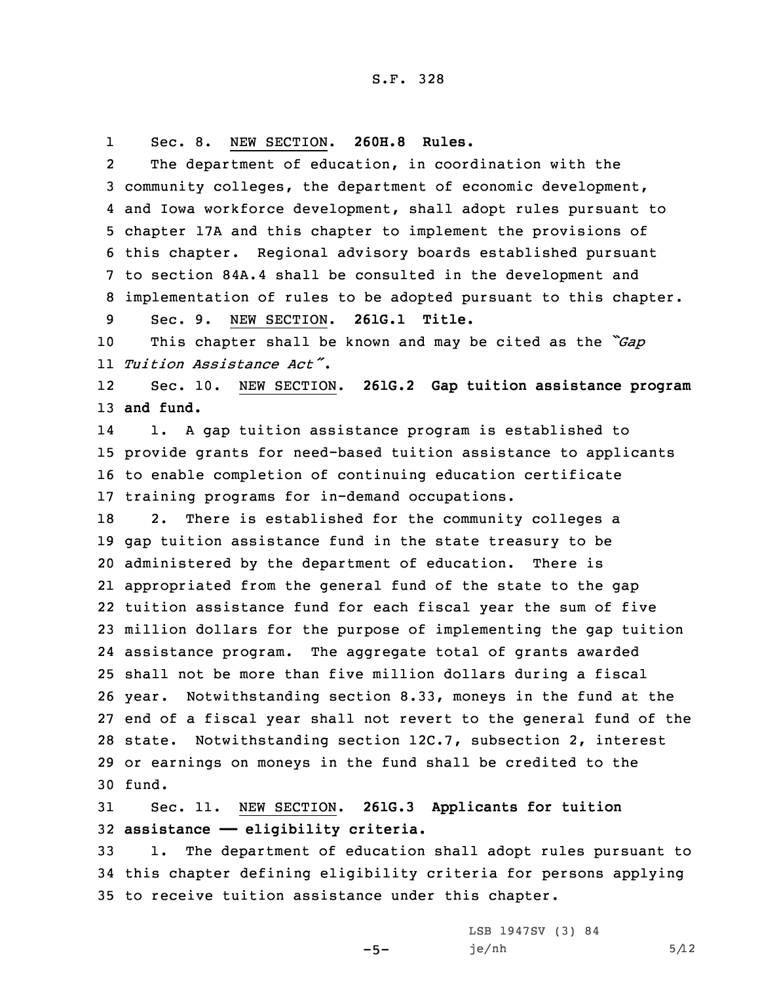1Sec. 8. NEW SECTION. **260H.8 Rules.**

2 The department of education, in coordination with the community colleges, the department of economic development, and Iowa workforce development, shall adopt rules pursuant to chapter 17A and this chapter to implement the provisions of this chapter. Regional advisory boards established pursuant to section 84A.4 shall be consulted in the development and implementation of rules to be adopted pursuant to this chapter. Sec. 9. NEW SECTION. **261G.1 Title.**

<sup>10</sup> This chapter shall be known and may be cited as the *"Gap* 11 *Tuition Assistance Act"*.

12 Sec. 10. NEW SECTION. **261G.2 Gap tuition assistance program** 13 **and fund.**

14 1. <sup>A</sup> gap tuition assistance program is established to 15 provide grants for need-based tuition assistance to applicants 16 to enable completion of continuing education certificate 17 training programs for in-demand occupations.

 2. There is established for the community colleges <sup>a</sup> gap tuition assistance fund in the state treasury to be administered by the department of education. There is appropriated from the general fund of the state to the gap tuition assistance fund for each fiscal year the sum of five million dollars for the purpose of implementing the gap tuition assistance program. The aggregate total of grants awarded shall not be more than five million dollars during <sup>a</sup> fiscal year. Notwithstanding section 8.33, moneys in the fund at the end of <sup>a</sup> fiscal year shall not revert to the general fund of the state. Notwithstanding section 12C.7, subsection 2, interest or earnings on moneys in the fund shall be credited to the 30 fund.

31 Sec. 11. NEW SECTION. **261G.3 Applicants for tuition** 32 **assistance —— eligibility criteria.**

33 1. The department of education shall adopt rules pursuant to 34 this chapter defining eligibility criteria for persons applying 35 to receive tuition assistance under this chapter.

 $-5-$ 

LSB 1947SV (3) 84  $j e / nh$  5/12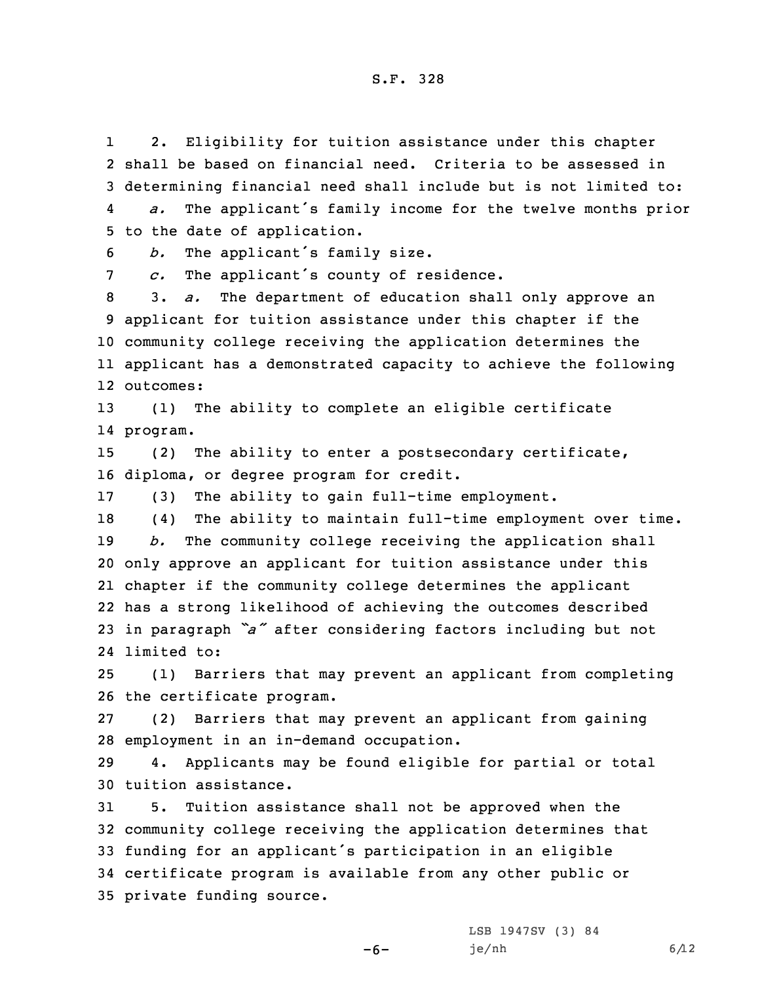1 2. Eligibility for tuition assistance under this chapter 2 shall be based on financial need. Criteria to be assessed in 3 determining financial need shall include but is not limited to: 4*a.* The applicant's family income for the twelve months prior

5 to the date of application.

<sup>6</sup> *b.* The applicant's family size.

7 *c.* The applicant's county of residence.

 3. *a.* The department of education shall only approve an applicant for tuition assistance under this chapter if the community college receiving the application determines the applicant has <sup>a</sup> demonstrated capacity to achieve the following outcomes:

13 (1) The ability to complete an eligible certificate 14 program.

15 (2) The ability to enter <sup>a</sup> postsecondary certificate, 16 diploma, or degree program for credit.

17 (3) The ability to gain full-time employment.

 (4) The ability to maintain full-time employment over time. *b.* The community college receiving the application shall only approve an applicant for tuition assistance under this chapter if the community college determines the applicant has <sup>a</sup> strong likelihood of achieving the outcomes described in paragraph *"a"* after considering factors including but not limited to:

25 (1) Barriers that may prevent an applicant from completing 26 the certificate program.

27 (2) Barriers that may prevent an applicant from gaining 28 employment in an in-demand occupation.

29 4. Applicants may be found eligible for partial or total 30 tuition assistance.

 5. Tuition assistance shall not be approved when the community college receiving the application determines that funding for an applicant's participation in an eligible certificate program is available from any other public or private funding source.

-6-

LSB 1947SV (3) 84  $j e / nh$  6/12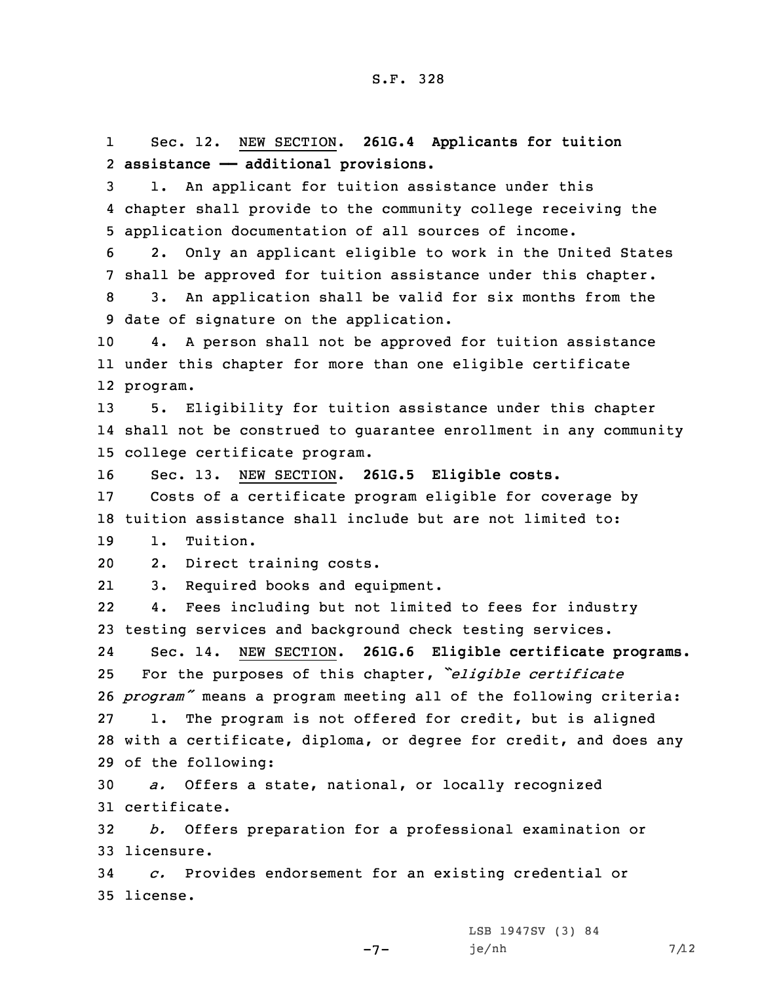1 Sec. 12. NEW SECTION. **261G.4 Applicants for tuition** 2 **assistance —— additional provisions.**

3 1. An applicant for tuition assistance under this 4 chapter shall provide to the community college receiving the 5 application documentation of all sources of income.

6 2. Only an applicant eligible to work in the United States 7 shall be approved for tuition assistance under this chapter.

8 3. An application shall be valid for six months from the 9 date of signature on the application.

10 4. <sup>A</sup> person shall not be approved for tuition assistance 11 under this chapter for more than one eligible certificate 12 program.

13 5. Eligibility for tuition assistance under this chapter 14 shall not be construed to guarantee enrollment in any community 15 college certificate program.

16 Sec. 13. NEW SECTION. **261G.5 Eligible costs.**

17 Costs of <sup>a</sup> certificate program eligible for coverage by 18 tuition assistance shall include but are not limited to:

19 1. Tuition.

20 2. Direct training costs.

213. Required books and equipment.

22 4. Fees including but not limited to fees for industry 23 testing services and background check testing services.

24 Sec. 14. NEW SECTION. **261G.6 Eligible certificate programs.** For the purposes of this chapter, *"eligible certificate program"* means <sup>a</sup> program meeting all of the following criteria: 1. The program is not offered for credit, but is aligned with <sup>a</sup> certificate, diploma, or degree for credit, and does any of the following:

30 *a.* Offers <sup>a</sup> state, national, or locally recognized 31 certificate.

32 *b.* Offers preparation for <sup>a</sup> professional examination or 33 licensure.

 $-7-$ 

34 *c.* Provides endorsement for an existing credential or 35 license.

> LSB 1947SV (3) 84 je/nh 7/12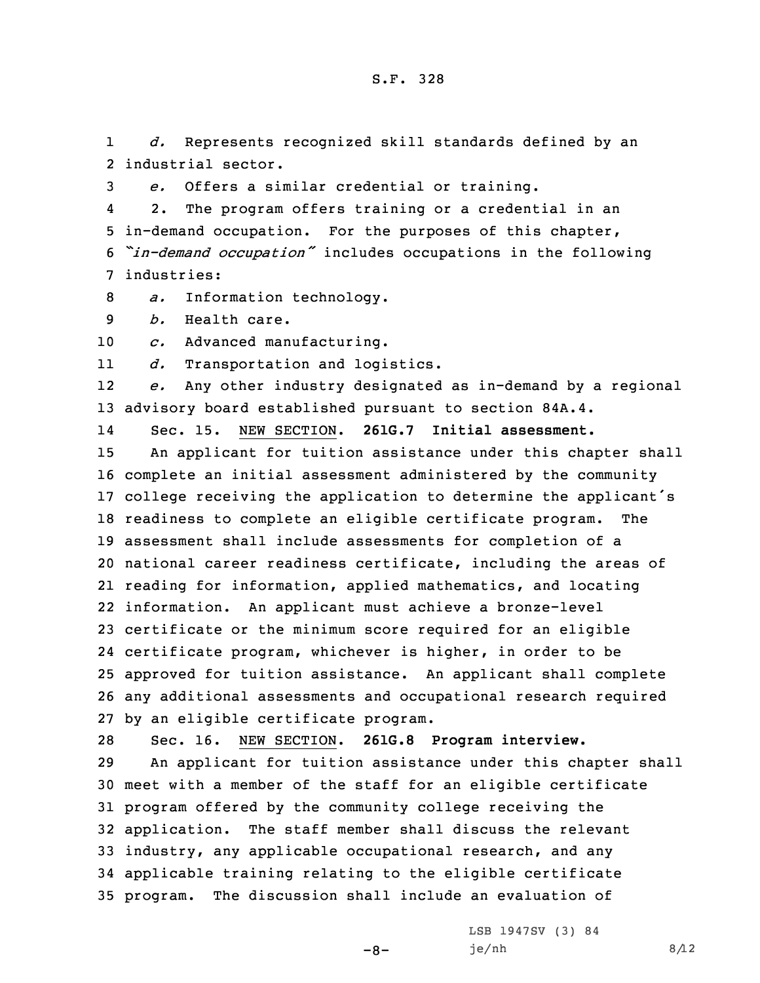1 *d.* Represents recognized skill standards defined by an 2 industrial sector.

3 *e.* Offers <sup>a</sup> similar credential or training.

4 2. The program offers training or <sup>a</sup> credential in an 5 in-demand occupation. For the purposes of this chapter, <sup>6</sup> *"in-demand occupation"* includes occupations in the following 7 industries:

8 *a.* Information technology.

9 *b.* Health care.

10 *c.* Advanced manufacturing.

11*d.* Transportation and logistics.

12 *e.* Any other industry designated as in-demand by <sup>a</sup> regional 13 advisory board established pursuant to section 84A.4.

14Sec. 15. NEW SECTION. **261G.7 Initial assessment.**

 An applicant for tuition assistance under this chapter shall complete an initial assessment administered by the community college receiving the application to determine the applicant's readiness to complete an eligible certificate program. The assessment shall include assessments for completion of <sup>a</sup> national career readiness certificate, including the areas of reading for information, applied mathematics, and locating information. An applicant must achieve <sup>a</sup> bronze-level certificate or the minimum score required for an eligible certificate program, whichever is higher, in order to be approved for tuition assistance. An applicant shall complete any additional assessments and occupational research required by an eligible certificate program.

28 Sec. 16. NEW SECTION. **261G.8 Program interview.**

 An applicant for tuition assistance under this chapter shall meet with <sup>a</sup> member of the staff for an eligible certificate program offered by the community college receiving the application. The staff member shall discuss the relevant industry, any applicable occupational research, and any applicable training relating to the eligible certificate program. The discussion shall include an evaluation of

 $-8-$ 

LSB 1947SV (3) 84  $j e / nh$  8/12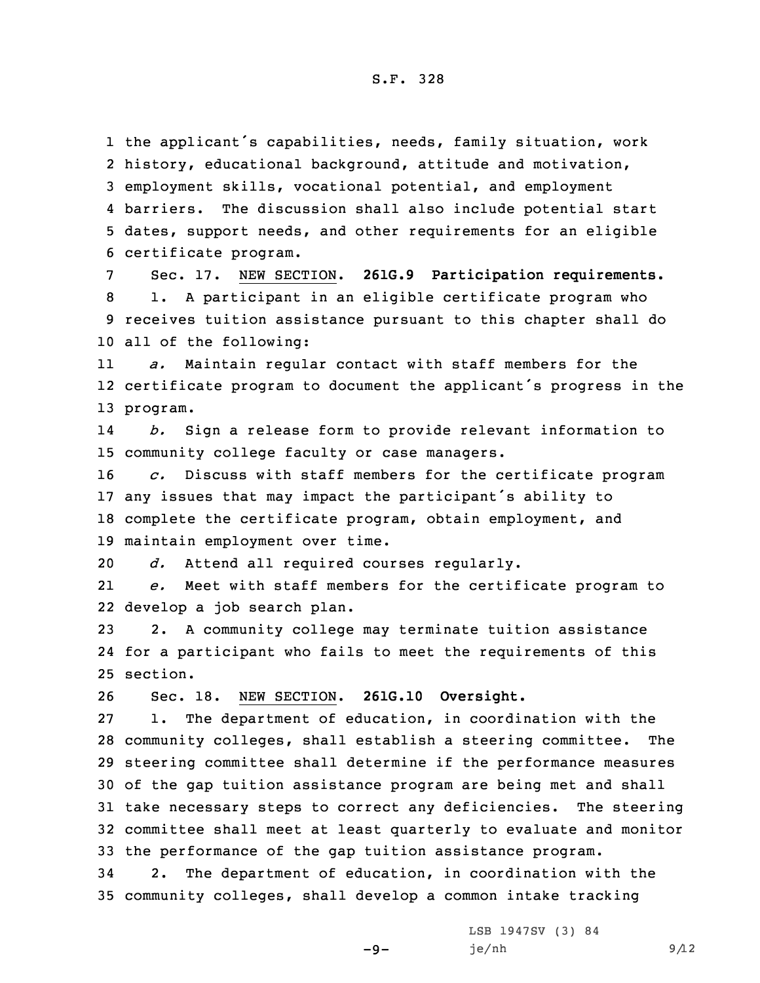the applicant's capabilities, needs, family situation, work history, educational background, attitude and motivation, employment skills, vocational potential, and employment 4 barriers. The discussion shall also include potential start dates, support needs, and other requirements for an eligible certificate program.

 Sec. 17. NEW SECTION. **261G.9 Participation requirements.** 1. <sup>A</sup> participant in an eligible certificate program who receives tuition assistance pursuant to this chapter shall do all of the following:

11 *a.* Maintain regular contact with staff members for the 12 certificate program to document the applicant's progress in the 13 program.

14 *b.* Sign <sup>a</sup> release form to provide relevant information to 15 community college faculty or case managers.

 *c.* Discuss with staff members for the certificate program any issues that may impact the participant's ability to complete the certificate program, obtain employment, and maintain employment over time.

20 *d.* Attend all required courses regularly.

21 *e.* Meet with staff members for the certificate program to 22 develop <sup>a</sup> job search plan.

23 2. <sup>A</sup> community college may terminate tuition assistance 24 for <sup>a</sup> participant who fails to meet the requirements of this 25 section.

26 Sec. 18. NEW SECTION. **261G.10 Oversight.**

 1. The department of education, in coordination with the community colleges, shall establish <sup>a</sup> steering committee. The steering committee shall determine if the performance measures of the gap tuition assistance program are being met and shall take necessary steps to correct any deficiencies. The steering committee shall meet at least quarterly to evaluate and monitor the performance of the gap tuition assistance program.

34 2. The department of education, in coordination with the 35 community colleges, shall develop <sup>a</sup> common intake tracking

-9-

LSB 1947SV (3) 84  $j e / nh$  9/12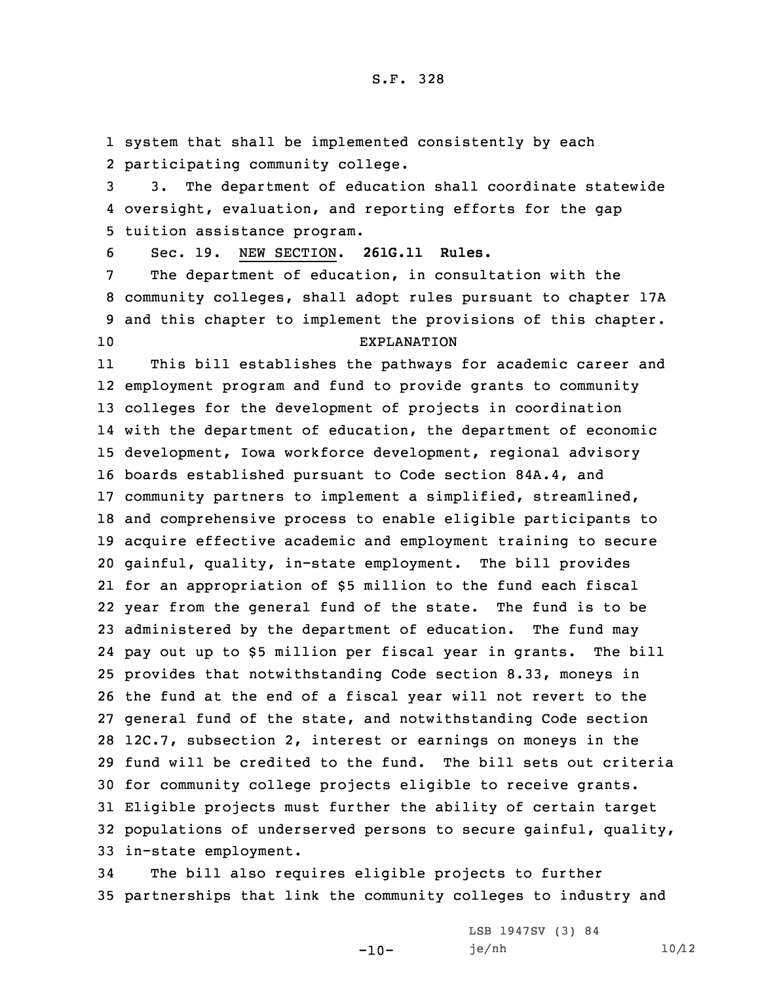1 system that shall be implemented consistently by each 2 participating community college.

3 3. The department of education shall coordinate statewide 4 oversight, evaluation, and reporting efforts for the gap 5 tuition assistance program.

6 Sec. 19. NEW SECTION. **261G.11 Rules.**

 The department of education, in consultation with the community colleges, shall adopt rules pursuant to chapter 17A and this chapter to implement the provisions of this chapter. EXPLANATION

11 This bill establishes the pathways for academic career and employment program and fund to provide grants to community colleges for the development of projects in coordination with the department of education, the department of economic development, Iowa workforce development, regional advisory boards established pursuant to Code section 84A.4, and community partners to implement <sup>a</sup> simplified, streamlined, and comprehensive process to enable eligible participants to acquire effective academic and employment training to secure gainful, quality, in-state employment. The bill provides for an appropriation of \$5 million to the fund each fiscal year from the general fund of the state. The fund is to be administered by the department of education. The fund may pay out up to \$5 million per fiscal year in grants. The bill provides that notwithstanding Code section 8.33, moneys in the fund at the end of <sup>a</sup> fiscal year will not revert to the general fund of the state, and notwithstanding Code section 12C.7, subsection 2, interest or earnings on moneys in the fund will be credited to the fund. The bill sets out criteria for community college projects eligible to receive grants. Eligible projects must further the ability of certain target populations of underserved persons to secure gainful, quality, in-state employment.

34 The bill also requires eligible projects to further 35 partnerships that link the community colleges to industry and

-10-

LSB 1947SV (3) 84 je/nh 10/12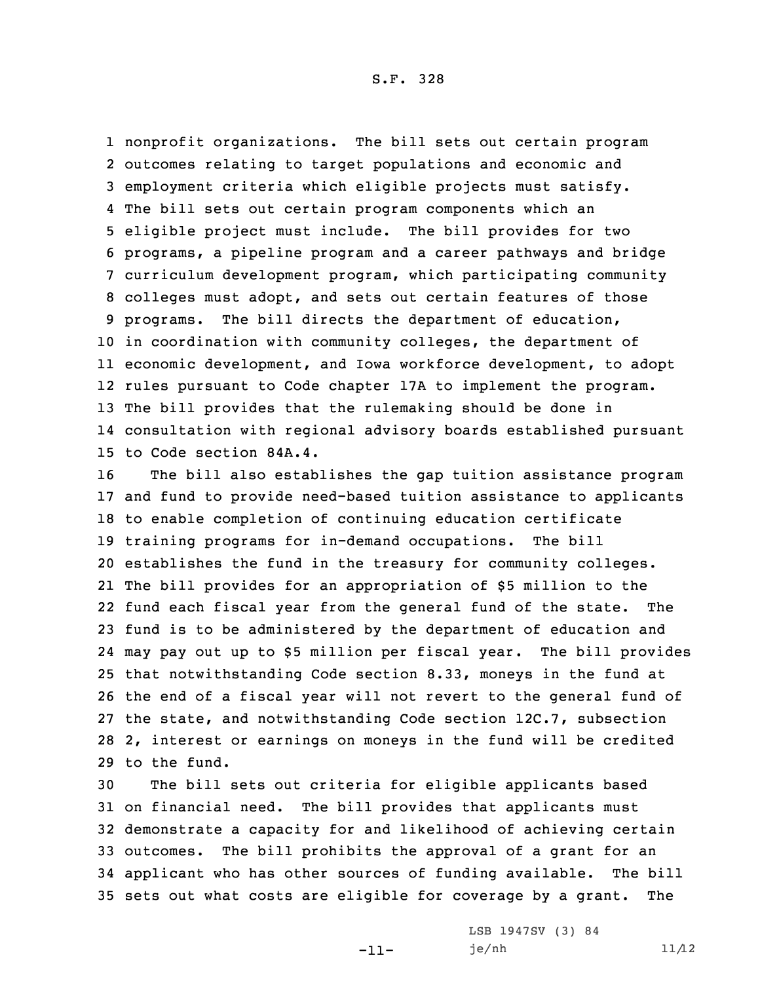nonprofit organizations. The bill sets out certain program outcomes relating to target populations and economic and employment criteria which eligible projects must satisfy. The bill sets out certain program components which an eligible project must include. The bill provides for two programs, <sup>a</sup> pipeline program and <sup>a</sup> career pathways and bridge curriculum development program, which participating community colleges must adopt, and sets out certain features of those programs. The bill directs the department of education, in coordination with community colleges, the department of economic development, and Iowa workforce development, to adopt rules pursuant to Code chapter 17A to implement the program. The bill provides that the rulemaking should be done in consultation with regional advisory boards established pursuant to Code section 84A.4.

 The bill also establishes the gap tuition assistance program and fund to provide need-based tuition assistance to applicants to enable completion of continuing education certificate training programs for in-demand occupations. The bill establishes the fund in the treasury for community colleges. The bill provides for an appropriation of \$5 million to the fund each fiscal year from the general fund of the state. The fund is to be administered by the department of education and may pay out up to \$5 million per fiscal year. The bill provides that notwithstanding Code section 8.33, moneys in the fund at the end of <sup>a</sup> fiscal year will not revert to the general fund of the state, and notwithstanding Code section 12C.7, subsection 2, interest or earnings on moneys in the fund will be credited to the fund.

 The bill sets out criteria for eligible applicants based on financial need. The bill provides that applicants must demonstrate <sup>a</sup> capacity for and likelihood of achieving certain outcomes. The bill prohibits the approval of <sup>a</sup> grant for an applicant who has other sources of funding available. The bill sets out what costs are eligible for coverage by <sup>a</sup> grant. The

-11-

LSB 1947SV (3) 84  $j$ e/nh  $11/12$